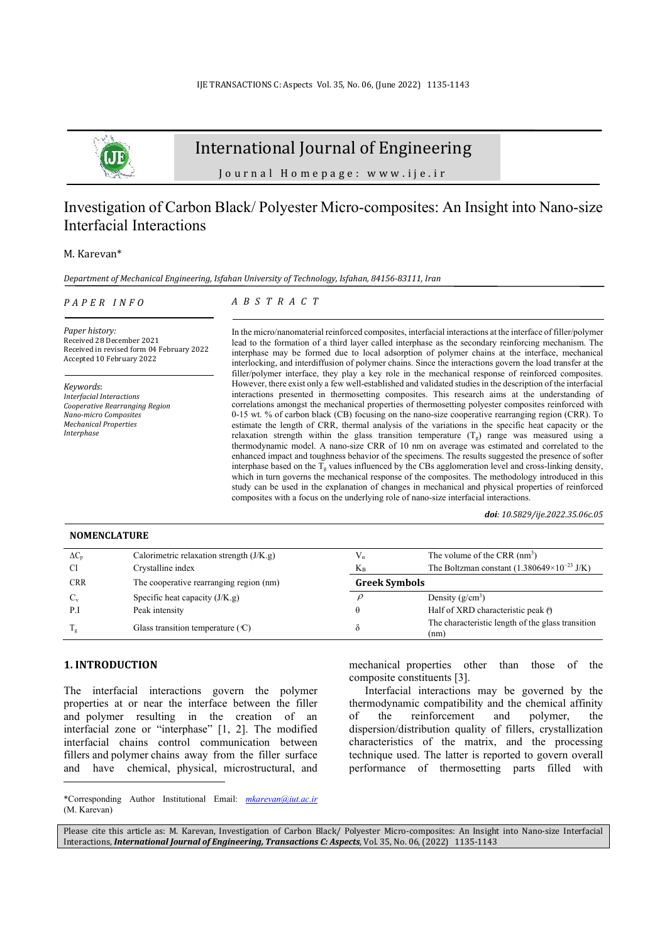

# International Journal of Engineering

Journal Homepage: www.ije.ir

## Investigation of Carbon Black/ Polyester Micro-composites: An Insight into Nano-size Interfacial Interactions

## M. Karevan\*

*Department of Mechanical Engineering, Isfahan University of Technology, Isfahan, 84156-83111, Iran* 

#### *P A P E R I N F O*

*A B S T R A C T* 

*Paper history:*  Received 28 December 2021 Received in revised form 04 February 2022 Accepted 10 February 2022

*Keywords*: *Interfacial Interactions Cooperative Rearranging Region Nano-micro Composites Mechanical Properties Interphase* 

In the micro/nanomaterial reinforced composites, interfacial interactions at the interface of filler/polymer lead to the formation of a third layer called interphase as the secondary reinforcing mechanism. The interphase may be formed due to local adsorption of polymer chains at the interface, mechanical interlocking, and interdiffusion of polymer chains. Since the interactions govern the load transfer at the filler/polymer interface, they play a key role in the mechanical response of reinforced composites. However, there exist only a few well-established and validated studies in the description of the interfacial interactions presented in thermosetting composites. This research aims at the understanding of correlations amongst the mechanical properties of thermosetting polyester composites reinforced with 0-15 wt. % of carbon black (CB) focusing on the nano-size cooperative rearranging region (CRR). To estimate the length of CRR, thermal analysis of the variations in the specific heat capacity or the relaxation strength within the glass transition temperature  $(T_g)$  range was measured using a thermodynamic model. A nano-size CRR of 10 nm on average was estimated and correlated to the enhanced impact and toughness behavior of the specimens. The results suggested the presence of softer interphase based on the  $T_g$  values influenced by the CBs agglomeration level and cross-linking density, which in turn governs the mechanical response of the composites. The methodology introduced in this study can be used in the explanation of changes in mechanical and physical properties of reinforced composites with a focus on the underlying role of nano-size interfacial interactions.

*doi: 10.5829/ije.2022.35.06c.05*

## **NOMENCLATURE**

| $\Delta C_n$ | Calorimetric relaxation strength $(J/K.g)$  |                      | The volume of the CRR $(nm3)$                             |  |
|--------------|---------------------------------------------|----------------------|-----------------------------------------------------------|--|
| CI           | Crystalline index                           | $K_{\rm R}$          | The Boltzman constant $(1.380649\times10^{-23}$ J/K)      |  |
| <b>CRR</b>   | The cooperative rearranging region (nm)     | <b>Greek Symbols</b> |                                                           |  |
| $C_{v}$      | Specific heat capacity $(J/K.g)$            |                      | Density $(g/cm^3)$                                        |  |
| P.I          | Peak intensity                              |                      | Half of XRD characteristic peak $\Theta$                  |  |
|              | Glass transition temperature $(\mathbb{C})$ |                      | The characteristic length of the glass transition<br>(nm) |  |

## **1. INTRODUCTION<sup>1</sup>**

The interfacial interactions govern the polymer properties at or near the interface between the filler and polymer resulting in the creation of an interfacial zone or "interphase" [1, 2]. The modified interfacial chains control communication between fillers and polymer chains away from the filler surface and have chemical, physical, microstructural, and mechanical properties other than those of the composite constituents [3].

Interfacial interactions may be governed by the thermodynamic compatibility and the chemical affinity of the reinforcement and polymer, the dispersion/distribution quality of fillers, crystallization characteristics of the matrix, and the processing technique used. The latter is reported to govern overall performance of thermosetting parts filled with

\*Corresponding Author Institutional Email: *mkarevan@iut.ac.ir*  (M. Karevan)

Please cite this article as: M. Karevan, Investigation of Carbon Black/ Polyester Micro-composites: An Insight into Nano-size Interfacial Interactions, *International Journal of Engineering, Transactions C: Aspects*, Vol. 35, No. 06, (2022) 1135-1143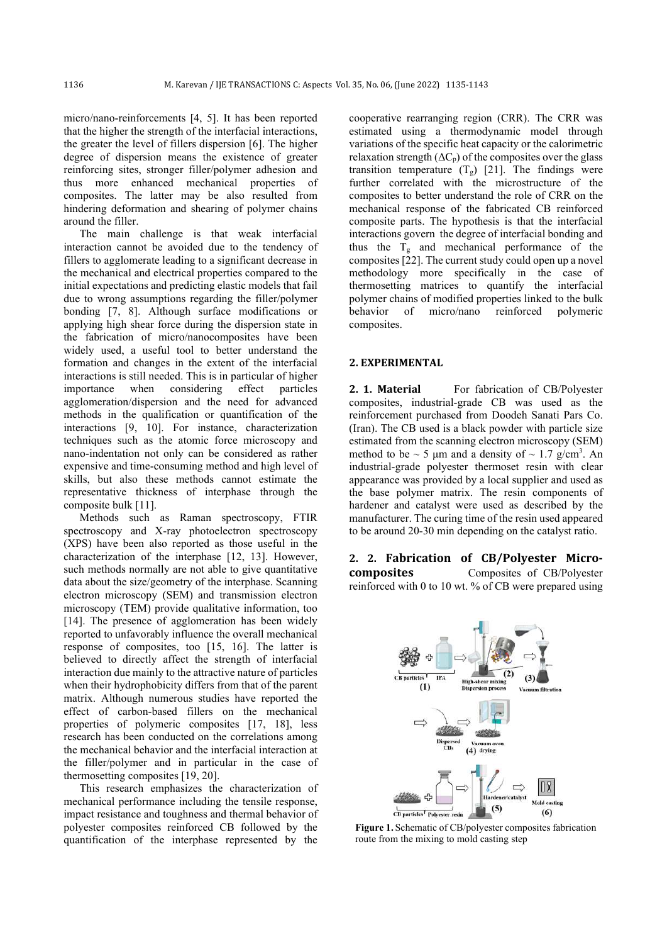micro/nano-reinforcements [4, 5]. It has been reported that the higher the strength of the interfacial interactions, the greater the level of fillers dispersion [6]. The higher degree of dispersion means the existence of greater reinforcing sites, stronger filler/polymer adhesion and thus more enhanced mechanical properties of composites. The latter may be also resulted from hindering deformation and shearing of polymer chains around the filler.

The main challenge is that weak interfacial interaction cannot be avoided due to the tendency of fillers to agglomerate leading to a significant decrease in the mechanical and electrical properties compared to the initial expectations and predicting elastic models that fail due to wrong assumptions regarding the filler/polymer bonding [7, 8]. Although surface modifications or applying high shear force during the dispersion state in the fabrication of micro/nanocomposites have been widely used, a useful tool to better understand the formation and changes in the extent of the interfacial interactions is still needed. This is in particular of higher importance when considering effect particles agglomeration/dispersion and the need for advanced methods in the qualification or quantification of the interactions [9, 10]. For instance, characterization techniques such as the atomic force microscopy and nano-indentation not only can be considered as rather expensive and time-consuming method and high level of skills, but also these methods cannot estimate the representative thickness of interphase through the composite bulk [11].

Methods such as Raman spectroscopy, FTIR spectroscopy and X-ray photoelectron spectroscopy (XPS) have been also reported as those useful in the characterization of the interphase [12, 13]. However, such methods normally are not able to give quantitative data about the size/geometry of the interphase. Scanning electron microscopy (SEM) and transmission electron microscopy (TEM) provide qualitative information, too [14]. The presence of agglomeration has been widely reported to unfavorably influence the overall mechanical response of composites, too [15, 16]. The latter is believed to directly affect the strength of interfacial interaction due mainly to the attractive nature of particles when their hydrophobicity differs from that of the parent matrix. Although numerous studies have reported the effect of carbon-based fillers on the mechanical properties of polymeric composites [17, 18], less research has been conducted on the correlations among the mechanical behavior and the interfacial interaction at the filler/polymer and in particular in the case of thermosetting composites [19, 20].

This research emphasizes the characterization of mechanical performance including the tensile response, impact resistance and toughness and thermal behavior of polyester composites reinforced CB followed by the quantification of the interphase represented by the cooperative rearranging region (CRR). The CRR was estimated using a thermodynamic model through variations of the specific heat capacity or the calorimetric relaxation strength  $( \Delta C_p )$  of the composites over the glass transition temperature  $(T_g)$  [21]. The findings were further correlated with the microstructure of the composites to better understand the role of CRR on the mechanical response of the fabricated CB reinforced composite parts. The hypothesis is that the interfacial interactions govern the degree of interfacial bonding and thus the  $T_g$  and mechanical performance of the composites [22]. The current study could open up a novel methodology more specifically in the case of thermosetting matrices to quantify the interfacial polymer chains of modified properties linked to the bulk behavior of micro/nano reinforced polymeric composites.

#### **2. EXPERIMENTAL**

**2. 1. Material** For fabrication of CB/Polyester composites, industrial-grade CB was used as the reinforcement purchased from Doodeh Sanati Pars Co. (Iran). The CB used is a black powder with particle size estimated from the scanning electron microscopy (SEM) method to be  $\sim$  5 µm and a density of  $\sim$  1.7 g/cm<sup>3</sup>. An industrial-grade polyester thermoset resin with clear appearance was provided by a local supplier and used as the base polymer matrix. The resin components of hardener and catalyst were used as described by the manufacturer. The curing time of the resin used appeared to be around 20-30 min depending on the catalyst ratio.

**2. 2. Fabrication of CB/Polyester Microcomposites** Composites of CB/Polyester reinforced with 0 to 10 wt. % of CB were prepared using



**Figure 1.** Schematic of CB/polyester composites fabrication route from the mixing to mold casting step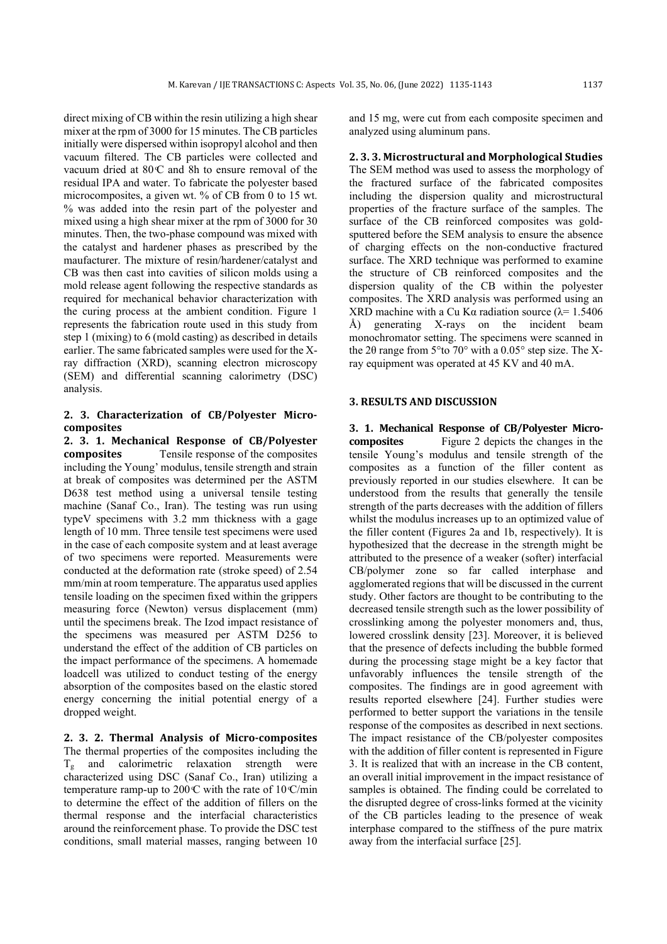direct mixing of CB within the resin utilizing a high shear mixer at the rpm of 3000 for 15 minutes. The CB particles initially were dispersed within isopropyl alcohol and then vacuum filtered. The CB particles were collected and vacuum dried at  $80^{\circ}$  and 8h to ensure removal of the residual IPA and water. To fabricate the polyester based microcomposites, a given wt. % of CB from 0 to 15 wt. % was added into the resin part of the polyester and mixed using a high shear mixer at the rpm of 3000 for 30 minutes. Then, the two-phase compound was mixed with the catalyst and hardener phases as prescribed by the maufacturer. The mixture of resin/hardener/catalyst and CB was then cast into cavities of silicon molds using a mold release agent following the respective standards as required for mechanical behavior characterization with the curing process at the ambient condition. Figure 1 represents the fabrication route used in this study from step 1 (mixing) to 6 (mold casting) as described in details earlier. The same fabricated samples were used for the Xray diffraction (XRD), scanning electron microscopy (SEM) and differential scanning calorimetry (DSC) analysis.

## **2. 3. Characterization of CB/Polyester Microcomposites**

**2. 3. 1. Mechanical Response of CB/Polyester composites** Tensile response of the composites including the Young' modulus, tensile strength and strain at break of composites was determined per the ASTM D638 test method using a universal tensile testing machine (Sanaf Co., Iran). The testing was run using typeV specimens with 3.2 mm thickness with a gage length of 10 mm. Three tensile test specimens were used in the case of each composite system and at least average of two specimens were reported. Measurements were conducted at the deformation rate (stroke speed) of 2.54 mm/min at room temperature. The apparatus used applies tensile loading on the specimen fixed within the grippers measuring force (Newton) versus displacement (mm) until the specimens break. The Izod impact resistance of the specimens was measured per ASTM D256 to understand the effect of the addition of CB particles on the impact performance of the specimens. A homemade loadcell was utilized to conduct testing of the energy absorption of the composites based on the elastic stored energy concerning the initial potential energy of a dropped weight.

**2. 3. 2. Thermal Analysis of Micro-composites**  The thermal properties of the composites including the  $T_g$  and calorimetric relaxation strength were characterized using DSC (Sanaf Co., Iran) utilizing a temperature ramp-up to  $200 \text{ C}$  with the rate of  $10 \text{ C/min}$ to determine the effect of the addition of fillers on the thermal response and the interfacial characteristics around the reinforcement phase. To provide the DSC test conditions, small material masses, ranging between 10 and 15 mg, were cut from each composite specimen and analyzed using aluminum pans.

## **2. 3. 3. Microstructural and Morphological Studies**  The SEM method was used to assess the morphology of the fractured surface of the fabricated composites including the dispersion quality and microstructural properties of the fracture surface of the samples. The surface of the CB reinforced composites was goldsputtered before the SEM analysis to ensure the absence of charging effects on the non-conductive fractured surface. The XRD technique was performed to examine the structure of CB reinforced composites and the dispersion quality of the CB within the polyester composites. The XRD analysis was performed using an XRD machine with a Cu Kα radiation source ( $\lambda$ = 1.5406 Å) generating X-rays on the incident beam monochromator setting. The specimens were scanned in the 2θ range from 5°to 70° with a 0.05° step size. The Xray equipment was operated at 45 KV and 40 mA.

#### **3. RESULTS AND DISCUSSION**

**3. 1. Mechanical Response of CB/Polyester Microcomposites** Figure 2 depicts the changes in the tensile Young's modulus and tensile strength of the composites as a function of the filler content as previously reported in our studies elsewhere. It can be understood from the results that generally the tensile strength of the parts decreases with the addition of fillers whilst the modulus increases up to an optimized value of the filler content (Figures 2a and 1b, respectively). It is hypothesized that the decrease in the strength might be attributed to the presence of a weaker (softer) interfacial CB/polymer zone so far called interphase and agglomerated regions that will be discussed in the current study. Other factors are thought to be contributing to the decreased tensile strength such as the lower possibility of crosslinking among the polyester monomers and, thus, lowered crosslink density [23]. Moreover, it is believed that the presence of defects including the bubble formed during the processing stage might be a key factor that unfavorably influences the tensile strength of the composites. The findings are in good agreement with results reported elsewhere [24]. Further studies were performed to better support the variations in the tensile response of the composites as described in next sections. The impact resistance of the CB/polyester composites with the addition of filler content is represented in Figure 3. It is realized that with an increase in the CB content, an overall initial improvement in the impact resistance of samples is obtained. The finding could be correlated to the disrupted degree of cross-links formed at the vicinity of the CB particles leading to the presence of weak interphase compared to the stiffness of the pure matrix away from the interfacial surface [25].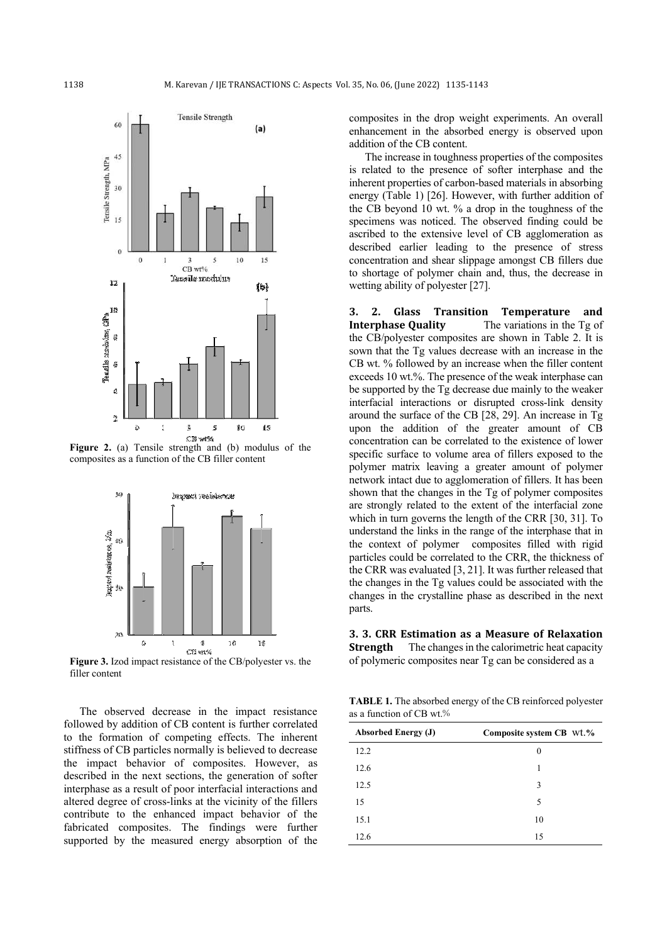

**Figure 2.** (a) Tensile strength and (b) modulus of the composites as a function of the CB filler content



**Figure 3.** Izod impact resistance of the CB/polyester vs. the filler content

The observed decrease in the impact resistance followed by addition of CB content is further correlated to the formation of competing effects. The inherent stiffness of CB particles normally is believed to decrease the impact behavior of composites. However, as described in the next sections, the generation of softer interphase as a result of poor interfacial interactions and altered degree of cross-links at the vicinity of the fillers contribute to the enhanced impact behavior of the fabricated composites. The findings were further supported by the measured energy absorption of the composites in the drop weight experiments. An overall enhancement in the absorbed energy is observed upon addition of the CB content.

The increase in toughness properties of the composites is related to the presence of softer interphase and the inherent properties of carbon-based materials in absorbing energy (Table 1) [26]. However, with further addition of the CB beyond 10 wt. % a drop in the toughness of the specimens was noticed. The observed finding could be ascribed to the extensive level of CB agglomeration as described earlier leading to the presence of stress concentration and shear slippage amongst CB fillers due to shortage of polymer chain and, thus, the decrease in wetting ability of polyester [27].

**3. 2. Glass Transition Temperature and Interphase Quality** The variations in the Tg of the CB/polyester composites are shown in Table 2. It is sown that the Tg values decrease with an increase in the CB wt. % followed by an increase when the filler content exceeds 10 wt.%. The presence of the weak interphase can be supported by the Tg decrease due mainly to the weaker interfacial interactions or disrupted cross-link density around the surface of the CB [28, 29]. An increase in Tg upon the addition of the greater amount of CB concentration can be correlated to the existence of lower specific surface to volume area of fillers exposed to the polymer matrix leaving a greater amount of polymer network intact due to agglomeration of fillers. It has been shown that the changes in the Tg of polymer composites are strongly related to the extent of the interfacial zone which in turn governs the length of the CRR [30, 31]. To understand the links in the range of the interphase that in the context of polymer composites filled with rigid particles could be correlated to the CRR, the thickness of the CRR was evaluated [3, 21]. It was further released that the changes in the Tg values could be associated with the changes in the crystalline phase as described in the next parts.

**3. 3. CRR Estimation as a Measure of Relaxation Strength** The changes in the calorimetric heat capacity of polymeric composites near Tg can be considered as a

**TABLE 1.** The absorbed energy of the CB reinforced polyester as a function of CB wt. %

| <b>Absorbed Energy (J)</b> | Composite system CB wt.% |
|----------------------------|--------------------------|
| 12.2                       | 0                        |
| 12.6                       |                          |
| 12.5                       | 3                        |
| 15                         | 5                        |
| 15.1                       | 10                       |
| 12.6                       | 15                       |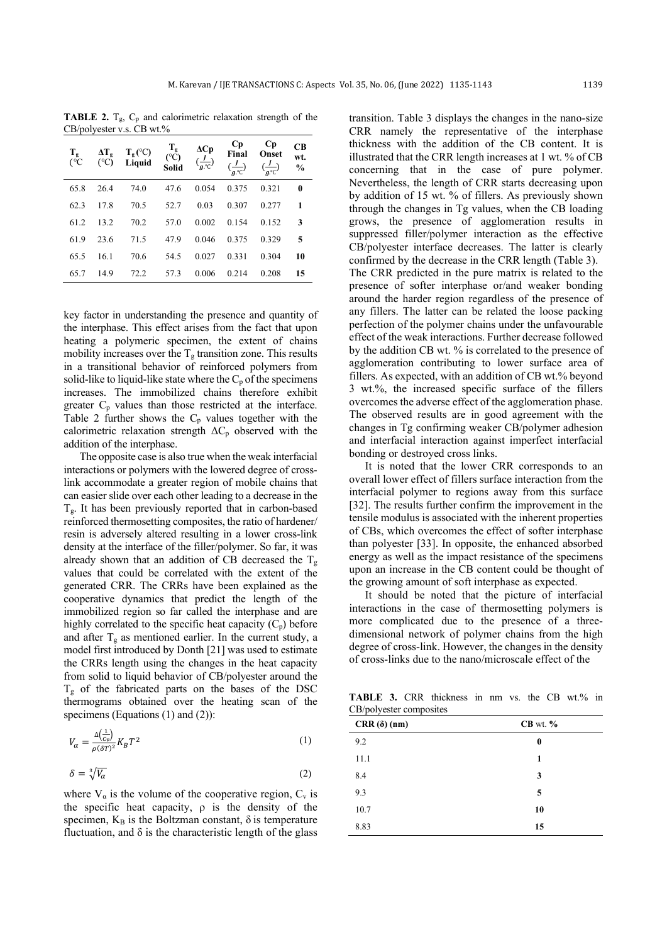**TABLE 2.**  $T_g$ ,  $C_p$  and calorimetric relaxation strength of the CB/polyester v.s. CB wt.%

| $T_{g}$<br>$C^{\circ}$ | $\Delta T_{g}$<br>$(^{\circ}C)$ | $T_{\varphi}$ (°C)<br>Liquid | $T_{g}$<br>(C)<br>Solid | $\Delta Cp$<br>$\left(\frac{\overline{J}}{g^{\circ}C}\right)$ | Cр<br>Final<br>$\left(\frac{J}{q\cdot c}\right)$ | Cр<br><b>Onset</b><br>$\left(\frac{J}{q\cdot c}\right)$ | CB<br>wt.<br>$\frac{0}{0}$ |
|------------------------|---------------------------------|------------------------------|-------------------------|---------------------------------------------------------------|--------------------------------------------------|---------------------------------------------------------|----------------------------|
| 65.8                   | 26.4                            | 74.0                         | 47.6                    | 0.054                                                         | 0.375                                            | 0.321                                                   | $\bf{0}$                   |
| 62.3                   | 17.8                            | 70.5                         | 52.7                    | 0.03                                                          | 0.307                                            | 0.277                                                   | 1                          |
| 61.2                   | 13.2                            | 70.2                         | 57.0                    | 0.002                                                         | 0.154                                            | 0.152                                                   | 3                          |
| 61.9                   | 23.6                            | 71.5                         | 47.9                    | 0.046                                                         | 0.375                                            | 0.329                                                   | 5                          |
| 65.5                   | 16.1                            | 70.6                         | 54.5                    | 0.027                                                         | 0.331                                            | 0.304                                                   | 10                         |
| 65.7                   | 14.9                            | 72.2                         | 57.3                    | 0.006                                                         | 0.214                                            | 0.208                                                   | 15                         |

key factor in understanding the presence and quantity of the interphase. This effect arises from the fact that upon heating a polymeric specimen, the extent of chains mobility increases over the  $T_g$  transition zone. This results in a transitional behavior of reinforced polymers from solid-like to liquid-like state where the  $C_p$  of the specimens increases. The immobilized chains therefore exhibit greater  $C_p$  values than those restricted at the interface. Table 2 further shows the  $C_p$  values together with the calorimetric relaxation strength  $\Delta C_p$  observed with the addition of the interphase.

The opposite case is also true when the weak interfacial interactions or polymers with the lowered degree of crosslink accommodate a greater region of mobile chains that can easier slide over each other leading to a decrease in the  $T_{g}$ . It has been previously reported that in carbon-based reinforced thermosetting composites, the ratio of hardener/ resin is adversely altered resulting in a lower cross-link density at the interface of the filler/polymer. So far, it was already shown that an addition of CB decreased the  $T_g$ values that could be correlated with the extent of the generated CRR. The CRRs have been explained as the cooperative dynamics that predict the length of the immobilized region so far called the interphase and are highly correlated to the specific heat capacity  $(C_p)$  before and after  $T_g$  as mentioned earlier. In the current study, a model first introduced by Donth [21] was used to estimate the CRRs length using the changes in the heat capacity from solid to liquid behavior of CB/polyester around the  $T<sub>g</sub>$  of the fabricated parts on the bases of the DSC thermograms obtained over the heating scan of the specimens (Equations (1) and (2)):

$$
V_{\alpha} = \frac{\Delta(\frac{1}{c_v})}{\rho(\delta T)^2} K_B T^2
$$
\n(1)

$$
\delta = \sqrt[3]{V_{\alpha}} \tag{2}
$$

where  $V_{\alpha}$  is the volume of the cooperative region,  $C_{v}$  is the specific heat capacity,  $\rho$  is the density of the specimen,  $K_B$  is the Boltzman constant,  $\delta$  is temperature fluctuation, and  $\delta$  is the characteristic length of the glass transition. Table 3 displays the changes in the nano-size CRR namely the representative of the interphase thickness with the addition of the CB content. It is illustrated that the CRR length increases at 1 wt. % of CB concerning that in the case of pure polymer. Nevertheless, the length of CRR starts decreasing upon by addition of 15 wt. % of fillers. As previously shown through the changes in Tg values, when the CB loading grows, the presence of agglomeration results in suppressed filler/polymer interaction as the effective CB/polyester interface decreases. The latter is clearly confirmed by the decrease in the CRR length (Table 3). The CRR predicted in the pure matrix is related to the presence of softer interphase or/and weaker bonding around the harder region regardless of the presence of any fillers. The latter can be related the loose packing perfection of the polymer chains under the unfavourable effect of the weak interactions. Further decrease followed by the addition CB wt. % is correlated to the presence of agglomeration contributing to lower surface area of fillers. As expected, with an addition of CB wt.% beyond 3 wt.%, the increased specific surface of the fillers overcomes the adverse effect of the agglomeration phase. The observed results are in good agreement with the changes in Tg confirming weaker CB/polymer adhesion and interfacial interaction against imperfect interfacial bonding or destroyed cross links.

It is noted that the lower CRR corresponds to an overall lower effect of fillers surface interaction from the interfacial polymer to regions away from this surface [32]. The results further confirm the improvement in the tensile modulus is associated with the inherent properties of CBs, which overcomes the effect of softer interphase than polyester [33]. In opposite, the enhanced absorbed energy as well as the impact resistance of the specimens upon an increase in the CB content could be thought of the growing amount of soft interphase as expected.

It should be noted that the picture of interfacial interactions in the case of thermosetting polymers is more complicated due to the presence of a threedimensional network of polymer chains from the high degree of cross-link. However, the changes in the density of cross-links due to the nano/microscale effect of the

**TABLE 3.** CRR thickness in nm vs. the CB wt.% in CB/polyester composites

| $CRR$ ( $\delta$ ) (nm) | $CB$ wt. $%$ |
|-------------------------|--------------|
| 9.2                     | $\bf{0}$     |
| 11.1                    | 1            |
| 8.4                     | 3            |
| 9.3                     | 5            |
| 10.7                    | 10           |
| 8.83                    | 15           |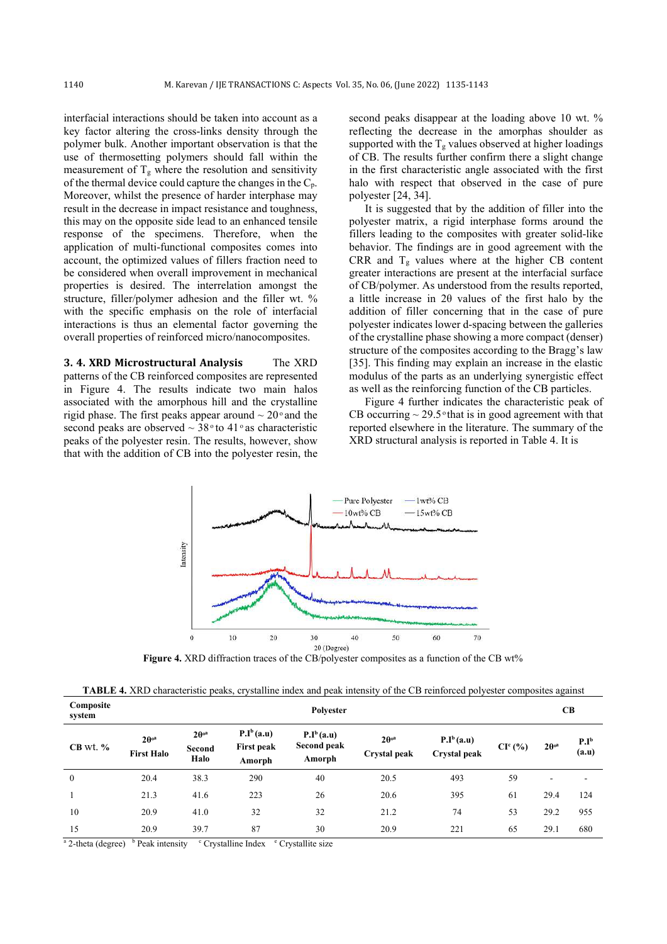interfacial interactions should be taken into account as a key factor altering the cross-links density through the polymer bulk. Another important observation is that the use of thermosetting polymers should fall within the measurement of  $T_g$  where the resolution and sensitivity of the thermal device could capture the changes in the  $C_p$ . Moreover, whilst the presence of harder interphase may result in the decrease in impact resistance and toughness, this may on the opposite side lead to an enhanced tensile response of the specimens. Therefore, when the application of multi-functional composites comes into account, the optimized values of fillers fraction need to be considered when overall improvement in mechanical properties is desired. The interrelation amongst the structure, filler/polymer adhesion and the filler wt. % with the specific emphasis on the role of interfacial interactions is thus an elemental factor governing the overall properties of reinforced micro/nanocomposites.

**3. 4. XRD Microstructural Analysis** The XRD patterns of the CB reinforced composites are represented in Figure 4. The results indicate two main halos associated with the amorphous hill and the crystalline rigid phase. The first peaks appear around  $\sim 20^{\circ}$  and the second peaks are observed  $\sim$  38 $\degree$  to 41 $\degree$  as characteristic peaks of the polyester resin. The results, however, show that with the addition of CB into the polyester resin, the

second peaks disappear at the loading above 10 wt. % reflecting the decrease in the amorphas shoulder as supported with the  $T_g$  values observed at higher loadings of CB. The results further confirm there a slight change in the first characteristic angle associated with the first halo with respect that observed in the case of pure polyester [24, 34].

It is suggested that by the addition of filler into the polyester matrix, a rigid interphase forms around the fillers leading to the composites with greater solid-like behavior. The findings are in good agreement with the CRR and  $T_g$  values where at the higher CB content greater interactions are present at the interfacial surface of CB/polymer. As understood from the results reported, a little increase in 2θ values of the first halo by the addition of filler concerning that in the case of pure polyester indicates lower d-spacing between the galleries of the crystalline phase showing a more compact (denser) structure of the composites according to the Bragg's law [35]. This finding may explain an increase in the elastic modulus of the parts as an underlying synergistic effect as well as the reinforcing function of the CB particles.

Figure 4 further indicates the characteristic peak of CB occurring  $\sim$  29.5 $\degree$  that is in good agreement with that reported elsewhere in the literature. The summary of the XRD structural analysis is reported in Table 4. It is



**Figure 4.** XRD diffraction traces of the CB/polyester composites as a function of the CB wt%

| Composite<br>system | Polvester                                    |                                           |                                             |                                       |                                                |                                     | CB        |                         |                           |
|---------------------|----------------------------------------------|-------------------------------------------|---------------------------------------------|---------------------------------------|------------------------------------------------|-------------------------------------|-----------|-------------------------|---------------------------|
| $CB$ wt. $%$        | $2\theta$ <sup>oa</sup><br><b>First Halo</b> | $2\theta$ <sup>oa</sup><br>Second<br>Halo | $P.I^b(a.u)$<br><b>First peak</b><br>Amorph | $P.I^b(a.u)$<br>Second peak<br>Amorph | $2\theta$ <sup>oa</sup><br><b>Crystal</b> peak | $P.I^b(a.u)$<br><b>Crystal</b> peak | $CIc(\%)$ | $2\theta$ <sup>oa</sup> | P.I <sup>b</sup><br>(a.u) |
| $\overline{0}$      | 20.4                                         | 38.3                                      | 290                                         | 40                                    | 20.5                                           | 493                                 | 59        | ۰                       |                           |
|                     | 21.3                                         | 41.6                                      | 223                                         | 26                                    | 20.6                                           | 395                                 | 61        | 29.4                    | 124                       |
| 10                  | 20.9                                         | 41.0                                      | 32                                          | 32                                    | 21.2                                           | 74                                  | 53        | 29.2                    | 955                       |
| 15                  | 20.9                                         | 39.7                                      | 87                                          | 30                                    | 20.9                                           | 221                                 | 65        | 29.1                    | 680                       |

<sup>a</sup> 2-theta (degree) <sup>b</sup> Peak intensity c Crystalline Index c Crystallite size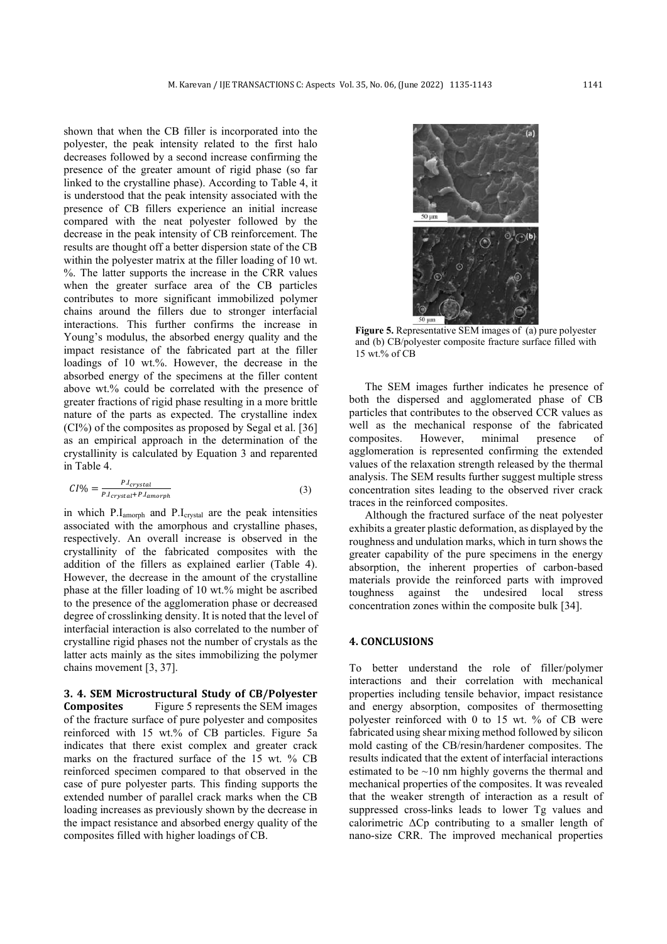shown that when the CB filler is incorporated into the polyester, the peak intensity related to the first halo decreases followed by a second increase confirming the presence of the greater amount of rigid phase (so far linked to the crystalline phase). According to Table 4, it is understood that the peak intensity associated with the presence of CB fillers experience an initial increase compared with the neat polyester followed by the decrease in the peak intensity of CB reinforcement. The results are thought off a better dispersion state of the CB within the polyester matrix at the filler loading of 10 wt. %. The latter supports the increase in the CRR values when the greater surface area of the CB particles contributes to more significant immobilized polymer chains around the fillers due to stronger interfacial interactions. This further confirms the increase in Young's modulus, the absorbed energy quality and the impact resistance of the fabricated part at the filler loadings of 10 wt.%. However, the decrease in the absorbed energy of the specimens at the filler content above wt.% could be correlated with the presence of greater fractions of rigid phase resulting in a more brittle nature of the parts as expected. The crystalline index (CI%) of the composites as proposed by Segal et al. [36] as an empirical approach in the determination of the crystallinity is calculated by Equation 3 and reparented in Table 4.

$$
CI\% = \frac{P.I_{crystal}}{P.I_{crystal} + P.I_{amorph}}\tag{3}
$$

in which P.Iamorph and P.Icrystal are the peak intensities associated with the amorphous and crystalline phases, respectively. An overall increase is observed in the crystallinity of the fabricated composites with the addition of the fillers as explained earlier (Table 4). However, the decrease in the amount of the crystalline phase at the filler loading of 10 wt.% might be ascribed to the presence of the agglomeration phase or decreased degree of crosslinking density. It is noted that the level of interfacial interaction is also correlated to the number of crystalline rigid phases not the number of crystals as the latter acts mainly as the sites immobilizing the polymer chains movement [3, 37].

**3. 4. SEM Microstructural Study of CB/Polyester Composites** Figure 5 represents the SEM images of the fracture surface of pure polyester and composites reinforced with 15 wt.% of CB particles. Figure 5a indicates that there exist complex and greater crack marks on the fractured surface of the 15 wt. % CB reinforced specimen compared to that observed in the case of pure polyester parts. This finding supports the extended number of parallel crack marks when the CB loading increases as previously shown by the decrease in the impact resistance and absorbed energy quality of the composites filled with higher loadings of CB.



**Figure 5.** Representative SEM images of (a) pure polyester and (b) CB/polyester composite fracture surface filled with 15 wt.% of CB

The SEM images further indicates he presence of both the dispersed and agglomerated phase of CB particles that contributes to the observed CCR values as well as the mechanical response of the fabricated composites. However, minimal presence of agglomeration is represented confirming the extended values of the relaxation strength released by the thermal analysis. The SEM results further suggest multiple stress concentration sites leading to the observed river crack traces in the reinforced composites.

Although the fractured surface of the neat polyester exhibits a greater plastic deformation, as displayed by the roughness and undulation marks, which in turn shows the greater capability of the pure specimens in the energy absorption, the inherent properties of carbon-based materials provide the reinforced parts with improved toughness against the undesired local stress concentration zones within the composite bulk [34].

#### **4. CONCLUSIONS**

To better understand the role of filler/polymer interactions and their correlation with mechanical properties including tensile behavior, impact resistance and energy absorption, composites of thermosetting polyester reinforced with 0 to 15 wt. % of CB were fabricated using shear mixing method followed by silicon mold casting of the CB/resin/hardener composites. The results indicated that the extent of interfacial interactions estimated to be  $\sim$ 10 nm highly governs the thermal and mechanical properties of the composites. It was revealed that the weaker strength of interaction as a result of suppressed cross-links leads to lower Tg values and calorimetric ΔCp contributing to a smaller length of nano-size CRR. The improved mechanical properties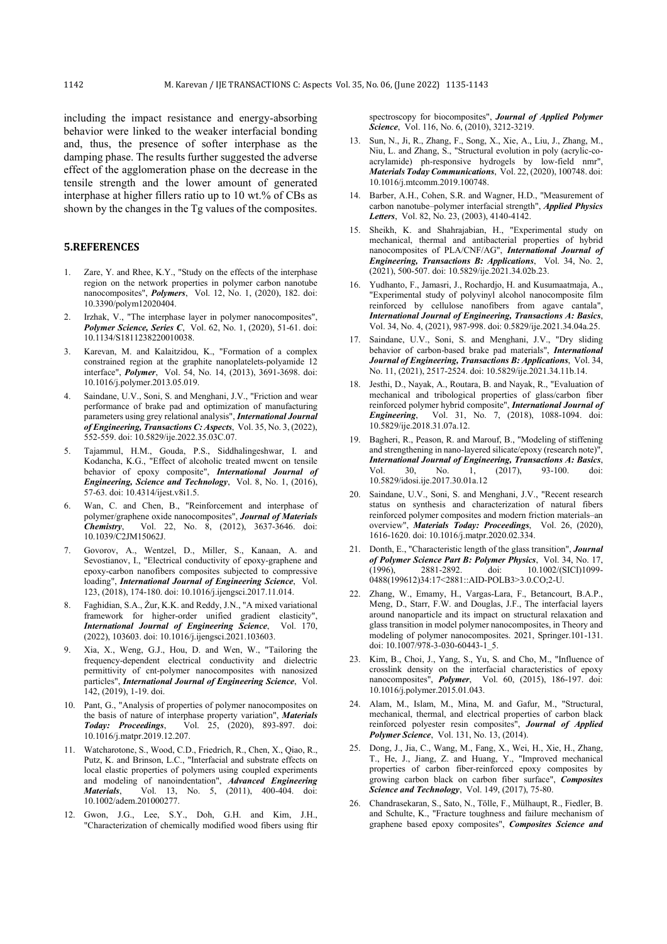including the impact resistance and energy-absorbing behavior were linked to the weaker interfacial bonding and, thus, the presence of softer interphase as the damping phase. The results further suggested the adverse effect of the agglomeration phase on the decrease in the tensile strength and the lower amount of generated interphase at higher fillers ratio up to 10 wt.% of CBs as shown by the changes in the Tg values of the composites.

## **5.REFERENCES**

- 1. Zare, Y. and Rhee, K.Y., "Study on the effects of the interphase region on the network properties in polymer carbon nanotube nanocomposites", *Polymers*, Vol. 12, No. 1, (2020), 182. doi: 10.3390/polym12020404.
- 2. Irzhak, V., "The interphase layer in polymer nanocomposites", *Polymer Science, Series C*, Vol. 62, No. 1, (2020), 51-61. doi: 10.1134/S1811238220010038.
- 3. Karevan, M. and Kalaitzidou, K., "Formation of a complex constrained region at the graphite nanoplatelets-polyamide 12 interface", *Polymer*, Vol. 54, No. 14, (2013), 3691-3698. doi: 10.1016/j.polymer.2013.05.019.
- 4. Saindane, U.V., Soni, S. and Menghani, J.V., "Friction and wear performance of brake pad and optimization of manufacturing parameters using grey relational analysis", *International Journal of Engineering, Transactions C: Aspects*, Vol. 35, No. 3, (2022), 552-559. doi: 10.5829/ije.2022.35.03C.07.
- 5. Tajammul, H.M., Gouda, P.S., Siddhalingeshwar, I. and Kodancha, K.G., "Effect of alcoholic treated mwcnt on tensile behavior of epoxy composite", *International Journal of Engineering, Science and Technology*, Vol. 8, No. 1, (2016), 57-63. doi: 10.4314/ijest.v8i1.5.
- 6. Wan, C. and Chen, B., "Reinforcement and interphase of polymer/graphene oxide nanocomposites", *Journal of Materials Chemistry*, Vol. 22, No. 8, (2012), 3637-3646. doi: 10.1039/C2JM15062J.
- 7. Govorov, A., Wentzel, D., Miller, S., Kanaan, A. and Sevostianov, I., "Electrical conductivity of epoxy-graphene and epoxy-carbon nanofibers composites subjected to compressive loading", *International Journal of Engineering Science*, Vol. 123, (2018), 174-180. doi: 10.1016/j.ijengsci.2017.11.014.
- 8. Faghidian, S.A., Żur, K.K. and Reddy, J.N., "A mixed variational framework for higher-order unified gradient elasticity", *International Journal of Engineering Science*, Vol. 170, (2022), 103603. doi: 10.1016/j.ijengsci.2021.103603.
- 9. Xia, X., Weng, G.J., Hou, D. and Wen, W., "Tailoring the frequency-dependent electrical conductivity and dielectric permittivity of cnt-polymer nanocomposites with nanosized particles", *International Journal of Engineering Science*, Vol. 142, (2019), 1-19. doi.
- 10. Pant, G., "Analysis of properties of polymer nanocomposites on the basis of nature of interphase property variation", *Materials Today: Proceedings*, Vol. 25, (2020), 893-897. doi: 10.1016/j.matpr.2019.12.207.
- 11. Watcharotone, S., Wood, C.D., Friedrich, R., Chen, X., Qiao, R., Putz, K. and Brinson, L.C., "Interfacial and substrate effects on local elastic properties of polymers using coupled experiments and modeling of nanoindentation", *Advanced Engineering Materials*, Vol. 13, No. 5, (2011), 400-404. doi: 10.1002/adem.201000277.
- 12. Gwon, J.G., Lee, S.Y., Doh, G.H. and Kim, J.H., "Characterization of chemically modified wood fibers using ftir

spectroscopy for biocomposites", *Journal of Applied Polymer Science*, Vol. 116, No. 6, (2010), 3212-3219.

- 13. Sun, N., Ji, R., Zhang, F., Song, X., Xie, A., Liu, J., Zhang, M., Niu, L. and Zhang, S., "Structural evolution in poly (acrylic-coacrylamide) ph-responsive hydrogels by low-field nmr", *Materials Today Communications*, Vol. 22, (2020), 100748. doi: 10.1016/j.mtcomm.2019.100748.
- 14. Barber, A.H., Cohen, S.R. and Wagner, H.D., "Measurement of carbon nanotube–polymer interfacial strength", *Applied Physics Letters*, Vol. 82, No. 23, (2003), 4140-4142.
- 15. Sheikh, K. and Shahrajabian, H., "Experimental study on mechanical, thermal and antibacterial properties of hybrid nanocomposites of PLA/CNF/AG", *International Journal of Engineering, Transactions B: Applications*, Vol. 34, No. 2, (2021), 500-507. doi: 10.5829/ije.2021.34.02b.23.
- 16. Yudhanto, F., Jamasri, J., Rochardjo, H. and Kusumaatmaja, A., "Experimental study of polyvinyl alcohol nanocomposite film reinforced by cellulose nanofibers from agave cantala", *International Journal of Engineering, Transactions A: Basics*, Vol. 34, No. 4, (2021), 987-998. doi: 0.5829/ije.2021.34.04a.25.
- 17. Saindane, U.V., Soni, S. and Menghani, J.V., "Dry sliding behavior of carbon-based brake pad materials", *International Journal of Engineering, Transactions B: Applications*, Vol. 34, No. 11, (2021), 2517-2524. doi: 10.5829/ije.2021.34.11b.14.
- 18. Jesthi, D., Nayak, A., Routara, B. and Nayak, R., "Evaluation of mechanical and tribological properties of glass/carbon fiber reinforced polymer hybrid composite", *International Journal of Engineering*, Vol. 31, No. 7, (2018), 1088-1094. doi: 10.5829/ije.2018.31.07a.12.
- 19. Bagheri, R., Peason, R. and Marouf, B., "Modeling of stiffening and strengthening in nano-layered silicate/epoxy (research note)", *International Journal of Engineering, Transactions A: Basics*, Vol. 30, No. 1, (2017), 93-100. doi: 10.5829/idosi.ije.2017.30.01a.12
- 20. Saindane, U.V., Soni, S. and Menghani, J.V., "Recent research status on synthesis and characterization of natural fibers reinforced polymer composites and modern friction materials–an overview", *Materials Today: Proceedings*, Vol. 26, (2020), 1616-1620. doi: 10.1016/j.matpr.2020.02.334.
- 21. Donth, E., "Characteristic length of the glass transition", *Journal of Polymer Science Part B: Polymer Physics*, Vol. 34, No. 17, (1996), 2881-2892. doi: 10.1002/(SICI)1099- $(1996)$ , 2881-2892. doi:  $10.1002/(SICI)1099$ -0488(199612)34:17<2881::AID-POLB3>3.0.CO;2-U.
- 22. Zhang, W., Emamy, H., Vargas-Lara, F., Betancourt, B.A.P., Meng, D., Starr, F.W. and Douglas, J.F., The interfacial layers around nanoparticle and its impact on structural relaxation and glass transition in model polymer nanocomposites, in Theory and modeling of polymer nanocomposites. 2021, Springer.101-131. doi: 10.1007/978-3-030-60443-1\_5.
- 23. Kim, B., Choi, J., Yang, S., Yu, S. and Cho, M., "Influence of crosslink density on the interfacial characteristics of epoxy nanocomposites", *Polymer*, Vol. 60, (2015), 186-197. doi: 10.1016/j.polymer.2015.01.043.
- 24. Alam, M., Islam, M., Mina, M. and Gafur, M., "Structural, mechanical, thermal, and electrical properties of carbon black reinforced polyester resin composites", *Journal of Applied Polymer Science*, Vol. 131, No. 13, (2014).
- 25. Dong, J., Jia, C., Wang, M., Fang, X., Wei, H., Xie, H., Zhang, T., He, J., Jiang, Z. and Huang, Y., "Improved mechanical properties of carbon fiber-reinforced epoxy composites by growing carbon black on carbon fiber surface", *Composites Science and Technology*, Vol. 149, (2017), 75-80.
- 26. Chandrasekaran, S., Sato, N., Tölle, F., Mülhaupt, R., Fiedler, B. and Schulte, K., "Fracture toughness and failure mechanism of graphene based epoxy composites", *Composites Science and*